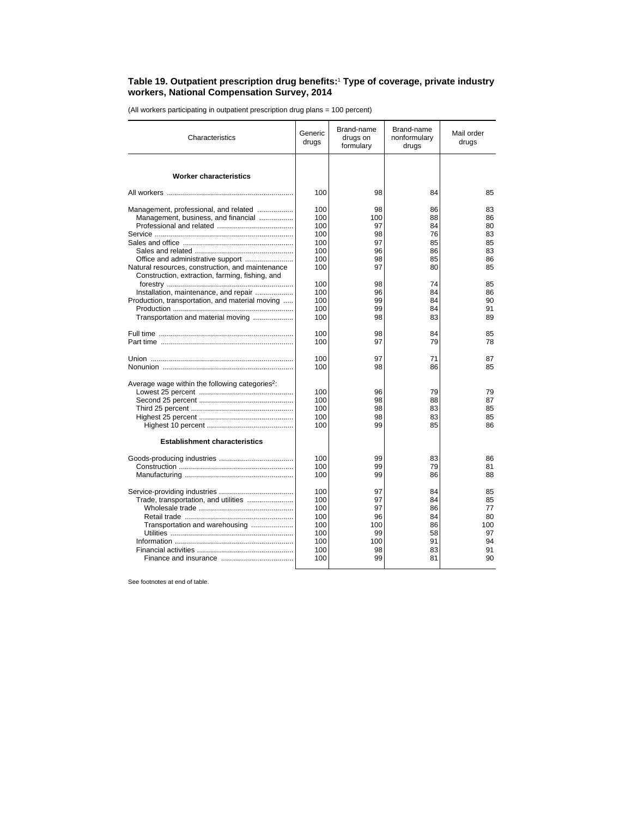## **Table 19. Outpatient prescription drug benefits:**<sup>1</sup>  **Type of coverage, private industry workers, National Compensation Survey, 2014**

(All workers participating in outpatient prescription drug plans = 100 percent)

| Characteristics                                             | Generic<br>drugs | Brand-name<br>drugs on<br>formulary | Brand-name<br>nonformulary<br>drugs | Mail order<br>drugs |
|-------------------------------------------------------------|------------------|-------------------------------------|-------------------------------------|---------------------|
|                                                             |                  |                                     |                                     |                     |
| <b>Worker characteristics</b>                               |                  |                                     |                                     |                     |
|                                                             | 100              | 98                                  | 84                                  | 85                  |
| Management, professional, and related                       | 100              | 98                                  | 86                                  | 83                  |
| Management, business, and financial                         | 100              | 100                                 | 88                                  | 86                  |
|                                                             | 100              | 97                                  | 84                                  | 80                  |
|                                                             | 100              | 98                                  | 76                                  | 83                  |
|                                                             | 100              | 97                                  | 85                                  | 85                  |
|                                                             | 100              | 96                                  | 86                                  | 83                  |
|                                                             | 100              | 98                                  | 85                                  | 86                  |
| Natural resources, construction, and maintenance            | 100              | 97                                  | 80                                  | 85                  |
| Construction, extraction, farming, fishing, and             |                  |                                     |                                     |                     |
|                                                             | 100              | 98                                  | 74                                  | 85                  |
| Installation, maintenance, and repair                       | 100              | 96                                  | 84                                  | 86                  |
| Production, transportation, and material moving             | 100              | 99                                  | 84                                  | 90                  |
|                                                             | 100              | 99                                  | 84                                  | 91                  |
| Transportation and material moving                          | 100              | 98                                  | 83                                  | 89                  |
|                                                             | 100              | 98                                  | 84                                  | 85                  |
|                                                             | 100              | 97                                  | 79                                  | 78                  |
|                                                             |                  |                                     |                                     |                     |
|                                                             | 100              | 97                                  | 71                                  | 87                  |
|                                                             | 100              | 98                                  | 86                                  | 85                  |
|                                                             |                  |                                     |                                     |                     |
| Average wage within the following categories <sup>2</sup> : |                  |                                     |                                     |                     |
|                                                             | 100              | 96                                  | 79                                  | 79                  |
|                                                             | 100              | 98                                  | 88                                  | 87                  |
|                                                             | 100              | 98                                  | 83                                  | 85                  |
|                                                             | 100              | 98                                  | 83                                  | 85                  |
|                                                             | 100              | 99                                  | 85                                  | 86                  |
| <b>Establishment characteristics</b>                        |                  |                                     |                                     |                     |
|                                                             | 100              | 99                                  | 83                                  | 86                  |
|                                                             | 100              | 99                                  | 79                                  | 81                  |
|                                                             | 100              | 99                                  | 86                                  | 88                  |
|                                                             |                  |                                     |                                     |                     |
|                                                             | 100              | 97                                  | 84                                  | 85                  |
| Trade, transportation, and utilities                        | 100              | 97                                  | 84                                  | 85                  |
|                                                             | 100              | 97                                  | 86                                  | 77                  |
|                                                             | 100              | 96                                  | 84                                  | 80                  |
| Transportation and warehousing                              | 100              | 100                                 | 86                                  | 100                 |
|                                                             | 100<br>100       | 99                                  | 58<br>91                            | 97<br>94            |
|                                                             | 100              | 100<br>98                           | 83                                  | 91                  |
|                                                             | 100              | 99                                  | 81                                  | 90                  |
|                                                             |                  |                                     |                                     |                     |

See footnotes at end of table.